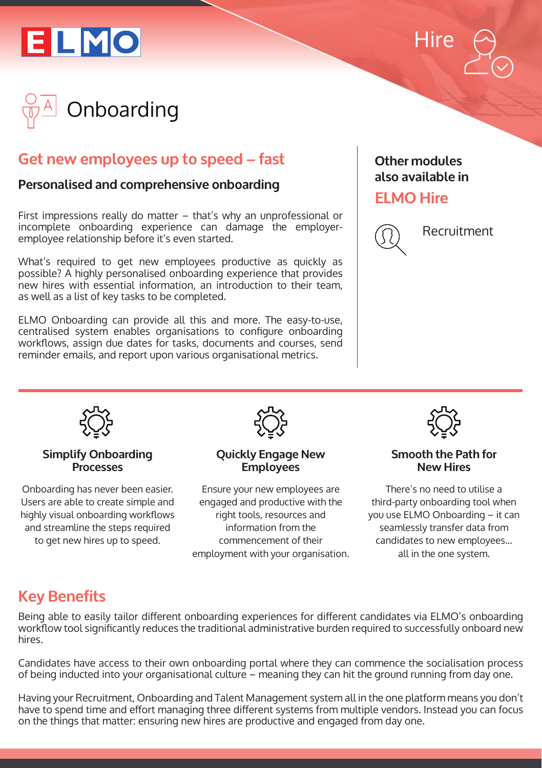





# **Get new employees up to speed – fast**

### **Personalised and comprehensive onboarding**

First impressions really do matter – that's why an unprofessional or incomplete onboarding experience can damage the employeremployee relationship before it's even started.

What's required to get new employees productive as quickly as possible? A highly personalised onboarding experience that provides new hires with essential information, an introduction to their team, as well as a list of key tasks to be completed.

ELMO Onboarding can provide all this and more. The easy-to-use, centralised system enables organisations to configure onboarding workflows, assign due dates for tasks, documents and courses, send reminder emails, and report upon various organisational metrics.

### **Other modules also available in**

## **ELMO Hire**



Recruitment



#### **Simplify Onboarding Processes**

Onboarding has never been easier. Users are able to create simple and highly visual onboarding workflows and streamline the steps required to get new hires up to speed.



#### **Quickly Engage New Employees**

Ensure your new employees are engaged and productive with the right tools, resources and information from the commencement of their employment with your organisation.



#### **Smooth the Path for New Hires**

There's no need to utilise a third-party onboarding tool when you use ELMO Onboarding – it can seamlessly transfer data from candidates to new employees... all in the one system.

# **Key Benefits**

Being able to easily tailor different onboarding experiences for different candidates via ELMO's onboarding workflow tool significantly reduces the traditional administrative burden required to successfully onboard new hires.

Candidates have access to their own onboarding portal where they can commence the socialisation process of being inducted into your organisational culture – meaning they can hit the ground running from day one.

Having your Recruitment, Onboarding and Talent Management system all in the one platform means you don't have to spend time and effort managing three different systems from multiple vendors. Instead you can focus on the things that matter: ensuring new hires are productive and engaged from day one.